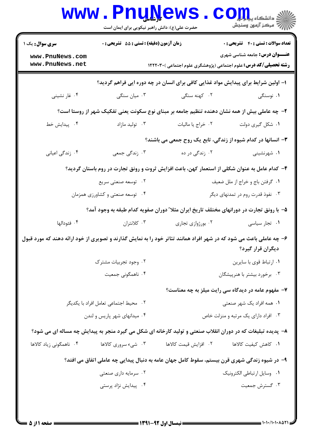| <b>سری سوال :</b> یک ۱                                                                                              | <b>زمان آزمون (دقیقه) : تستی : 55 تشریحی : 0</b> |                                                                                                             | <b>تعداد سوالات : تستی : 40 - تشریحی : 0</b> |  |
|---------------------------------------------------------------------------------------------------------------------|--------------------------------------------------|-------------------------------------------------------------------------------------------------------------|----------------------------------------------|--|
| www.PnuNews.com<br>www.PnuNews.net                                                                                  |                                                  | <b>رشته تحصیلی/کد درس:</b> علوم اجتماعی (پژوهشگری علوم اجتماعی )۲۲۲۰۳۰ (                                    | <b>عنـــوان درس:</b> جامعه شناسی شهری        |  |
|                                                                                                                     |                                                  | ۱– اولین شرایط برای پیدایش مواد غذایی کافی برای انسان در چه دوره ایی فراهم گردید؟                           |                                              |  |
| ۰۴ غار نشيني                                                                                                        | ۰۳ میان سنگی                                     | ۰۲ کهنه سنگی                                                                                                | ۰۱ نوسنگی                                    |  |
| ۲- چه عاملی بیش از همه نشان دهنده تنظیم جامعه بر مبنای نوع سکونت یعنی تفکیک شهر از روستا است؟                       |                                                  |                                                                                                             |                                              |  |
| ۰۴ پیدایش خط                                                                                                        | ۰۳ تولید مازاد                                   | ٠٢ خراج يا ماليات                                                                                           | ۰۱ شکل گیری دولت                             |  |
|                                                                                                                     |                                                  | ۳- انسانها در کدام شیوه از زندگی، تابع یک روح جمعی می باشند؟                                                |                                              |  |
| ۰۴ زندگی اعیانی                                                                                                     | ۰۳ زندگی جمعی                                    | ۰۲ زندگی در ده                                                                                              | ۰۱ شهرنشینی                                  |  |
|                                                                                                                     |                                                  | ۴– کدام عامل به عنوان شکلی از استعمار کهن، باعث افزایش ثروت و رونق تجارت در روم باستان گردید؟               |                                              |  |
|                                                                                                                     | ۰۲ توسعه صنعتی سریع                              | ٠١ گرفتن باج و خراج از ملل ضعيف                                                                             |                                              |  |
|                                                                                                                     | ۰۴ توسعه صنعتی و کشاورزی همزمان                  | ۰۳ نفوذ قدرت روم در تمدنهای دیگر                                                                            |                                              |  |
|                                                                                                                     |                                                  | ۵– با رونق تجارت در دورانهای مختلف تاریخ ایران مثلا ً دوران صفویه کدام طبقه به وجود آمد؟                    |                                              |  |
| ۰۴ فئودالها                                                                                                         | ۰۳ کلانتران                                      | ۰۲ بورژوازی تجاری                                                                                           | ۰۱ تجار سیاسی                                |  |
| ۶– چه عاملی باعث می شود که در شهر افراد همانند تئاتر خود را به نمایش گذارند و تصویری از خود ارائه دهند که مورد قبول |                                                  |                                                                                                             | دیگران قرار گیرد؟                            |  |
|                                                                                                                     | ۰۲ وجود تجربیات مشترک                            |                                                                                                             | ٠١ ارتباط قوى با سايرين                      |  |
|                                                                                                                     | ۰۴ ناهمگونی جمعیت                                |                                                                                                             | ۰۳ برخورد بیشتر با هنرپیشگان                 |  |
|                                                                                                                     |                                                  | ۷- مفهوم عامه در دیدگاه سی رایت میلز به چه معناست؟                                                          |                                              |  |
| ۰۲ محیط اجتماعی تعامل افراد با یکدیگر                                                                               |                                                  |                                                                                                             | ۰۱ همه افراد یک شهر صنعتی                    |  |
| ۰۴ میدانهای شهر پاریس و لندن                                                                                        |                                                  | ۰۳ افراد دارای یک مرتبه و منزلت خاص                                                                         |                                              |  |
|                                                                                                                     |                                                  | ۸– پدیده تبلیغات که در دوران انقلاب صنعتی و تولید کارخانه ای شکل می گیرد منجر به پیدایش چه مساله ای می شود؟ |                                              |  |
| ۰۴ ناهمگونی زیاد کالاها                                                                                             | ۰۳ شيء سروري کالاها                              | ٢. افزايش قيمت كالاها                                                                                       | ٠١. كاهش كيفيت كالاها                        |  |
|                                                                                                                     |                                                  | ۹- در شیوه زندگی شهری قرن بیستم، سقوط کامل جهان عامه به دنبال پیدایی چه عاملی اتفاق می افتد؟                |                                              |  |
|                                                                                                                     | ۰۲ سرمایه داری صنعتی                             |                                                                                                             | ٠١ وسايل ارتباطي الكترونيك                   |  |
|                                                                                                                     | ۰۴ پیدایش نژاد پرستی                             |                                                                                                             | ۰۳ گسترش جمعیت                               |  |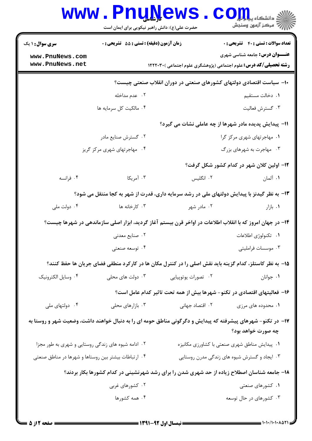|                                                      | www.PnuNews<br>حضرت علی(ع): دانش راهبر نیکویی برای ایمان است                                                |                     | الا دانشڪاه پي <b>اپولو COIL</b><br>الله مرڪز آزمون وسنڊش                                                         |
|------------------------------------------------------|-------------------------------------------------------------------------------------------------------------|---------------------|-------------------------------------------------------------------------------------------------------------------|
| <b>سری سوال : ۱ یک</b>                               | زمان آزمون (دقیقه) : تستی : 55 آتشریحی : 0                                                                  |                     | <b>تعداد سوالات : تستي : 40 ٪ تشريحي : 0</b>                                                                      |
| www.PnuNews.com<br>www.PnuNews.net                   |                                                                                                             |                     | <b>عنـــوان درس:</b> جامعه شناسی شهری<br><b>رشته تحصیلی/کد درس:</b> علوم اجتماعی (پژوهشگری علوم اجتماعی )۲۲۲۰۳۰ ا |
|                                                      |                                                                                                             |                     | ∙۱− سیاست اقتصادی دولتهای کشورهای صنعتی در دوران انقلاب صنعتی چیست؟                                               |
|                                                      | ۰۲ عدم مداخله                                                                                               |                     | ٠١. دخالت مستقيم                                                                                                  |
|                                                      | ۰۴ مالکیت کل سرمایه ها                                                                                      |                     | ۰۳ گسترش فعالیت                                                                                                   |
|                                                      |                                                                                                             |                     | 11- پیدایش پدیده مادر شهرها از چه عاملی نشات می گیرد؟                                                             |
|                                                      | ۰۲ گسترش صنایع مادر                                                                                         |                     | ۰۱ مهاجرتهای شهری مرکز گرا                                                                                        |
|                                                      | ۰۴ مهاجرتهای شهری مرکز گریز                                                                                 |                     | ۰۳ مهاجرت به شهرهای بزرگ                                                                                          |
|                                                      |                                                                                                             |                     | ۱۲- اولین کلان شهر در کدام کشور شکل گرفت؟                                                                         |
| ۰۴ فرانسه                                            | ۰۳ آمریکا                                                                                                   | ۲. انگلیس           | ۰۱ آلمان                                                                                                          |
|                                                      | ۱۳- به نظر گیدنز با پیدایش دولتهای ملی در رشد سرمایه داری، قدرت از شهر به کجا منتقل می شود؟                 |                     |                                                                                                                   |
| ۰۴ دولت ملي                                          | ۰۳ کارخانه ها                                                                                               | ۰۲ مادر شهر         | ۰۱ بازار                                                                                                          |
|                                                      | ۱۴– در جهان امروز که با انقلاب اطلاعات در اواخر قرن بیستم آغاز گردید، ابزار اصلی سازماندهی در شهرها چیست؟   |                     |                                                                                                                   |
|                                                      | ۰۲ صنایع معدنی                                                                                              |                     | ٠١. تكنولوژي اطلاعات                                                                                              |
|                                                      | ۰۴ توسعه صنعتی                                                                                              |                     | ۰۳ موسسات فرامليتي                                                                                                |
|                                                      | ۱۵– به نظر کاستلز، کدام گزینه باید نقش اصلی را در کنترل مکان ها در کارکرد منطقی فضای جریان ها حفظ کنند؟     |                     |                                                                                                                   |
| ۰۴ وسايل الكترونيك                                   | ۰۳ دولت های محلی                                                                                            | ۰۲ تصورات يوتوپيايي | ٠١. جوانان                                                                                                        |
|                                                      |                                                                                                             |                     | ۱۶– فعالیتهای اقتصادی در تکنو- شهرها بیش از همه تحت تاثیر کدام عامل است؟                                          |
| ۰۴ دولتهای ملی                                       | ۰۳ بازارهای محلی                                                                                            | ۰۲ اقتصاد جهانی     | ۰۱ محدوده های مرزی                                                                                                |
|                                                      | ۱۷– در تکنو- شهرهای پیشرفته که پیدایش و دگرگونی مناطق حومه ای را به دنبال خواهند داشت، وضعیت شهر و روستا به |                     | چه صورت خواهد بود؟                                                                                                |
| ۰۲ ادامه شیوه های زندگی روستایی و شهری به طور مجزا   |                                                                                                             |                     | ۰۱ پیدایش مناطق شهری صنعتی با کشاورزی مکانیزه                                                                     |
| ۰۴ ارتباطات بیشتر بین روستاها و شهرها در مناطق صنعتی |                                                                                                             |                     | ۰۳ ایجاد و گسترش شیوه های زندگی مدرن روستایی                                                                      |
|                                                      | ۱۸– جامعه شناسان اصطلاح زیاده از حد شهری شدن را برای رشد شهرنشینی در کدام کشورها بکار بردند؟                |                     |                                                                                                                   |
|                                                      | ۰۲ کشورهای غربی                                                                                             |                     | ۰۱ کشورهای صنعتی                                                                                                  |
|                                                      | ۰۴ همه کشورها                                                                                               |                     | ۰۳ کشورهای در حال توسعه                                                                                           |
|                                                      |                                                                                                             |                     |                                                                                                                   |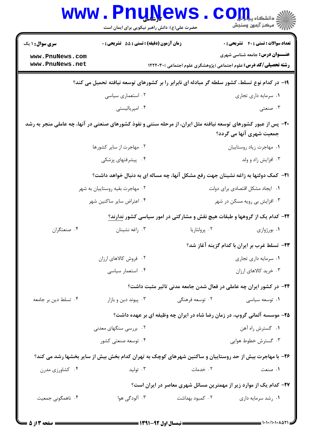|                                    |                                                                                                                 | حضرت علی(ع): دانش راهبر نیکویی برای ایمان است |                                                                                                                   |
|------------------------------------|-----------------------------------------------------------------------------------------------------------------|-----------------------------------------------|-------------------------------------------------------------------------------------------------------------------|
| <b>سری سوال :</b> ۱ یک             | زمان آزمون (دقیقه) : تستی : 55 آتشریحی : 0                                                                      |                                               | <b>تعداد سوالات : تستي : 40 ٪ تشريحي : 0</b>                                                                      |
| www.PnuNews.com<br>www.PnuNews.net |                                                                                                                 |                                               | <b>عنـــوان درس:</b> جامعه شناسی شهری<br><b>رشته تحصیلی/کد درس:</b> علوم اجتماعی (پژوهشگری علوم اجتماعی )۲۲۲۰۳۰ ( |
|                                    |                                                                                                                 |                                               |                                                                                                                   |
|                                    | ۱۹- در کدام نوع تسلط، کشور سلطه گر مبادله ای نابرابر را بر کشورهای توسعه نیافته تحمیل می کند؟                   |                                               |                                                                                                                   |
|                                    | ۰۲ استعماری سیاسی                                                                                               |                                               | ۰۱ سرمایه داری تجاری                                                                                              |
|                                    | ۰۴ امپریالیستی                                                                                                  |                                               | ۰۳ صنعتبی                                                                                                         |
|                                    | +۲- پس از عبور کشورهای توسعه نیافته مثل ایران، از مرحله سنتی و نفوذ کشورهای صنعتی در آنها، چه عاملی منجر به رشد |                                               | جمعیت شهری آنها می گردد؟                                                                                          |
|                                    | ۰۲ مهاجرت از سایر کشورها                                                                                        |                                               | ٠١ مهاجرت زياد روستاييان                                                                                          |
|                                    | ۴. پیشرفتهای پزشکی                                                                                              |                                               | ۰۳ افزایش زاد و ولد                                                                                               |
|                                    | <b>۲۱</b> - کمک دولتها به زاغه نشینان جهت رفع مشکل آنها، چه مساله ای به دنبال خواهد داشت؟                       |                                               |                                                                                                                   |
|                                    | ۰۲ مهاجرت بقیه روستاییان به شهر                                                                                 |                                               | ٠١ ايجاد مشكل اقتصادى براى دولت                                                                                   |
|                                    | ۰۴ اعتراض سایر ساکنین شهر                                                                                       |                                               | ۰۳ افزایش بی رویه مسکن در شهر                                                                                     |
|                                    | <b>۲۲</b> – کدام یک از گروهها و طبقات هیچ نقش و مشارکتی در امور سیاسی کشور ندارند؟                              |                                               |                                                                                                                   |
| ۰۴ صنعتگران                        | ۰۳ زاغه نشينان                                                                                                  | ٠٢ پرولتاريا                                  | ۰۱ بورژوازی                                                                                                       |
|                                    |                                                                                                                 |                                               | ۲۳- تسلط غرب بر ایران با کدام گزینه آغاز شد؟                                                                      |
|                                    | ۰۲ فروش کالاهای ارزان                                                                                           |                                               | ٠١ سرمايه داري تجاري                                                                                              |
|                                    | ۰۴ استعمار سیاسی                                                                                                |                                               | ۰۳ خرید کالاهای ارزان                                                                                             |
|                                    |                                                                                                                 |                                               | <b>۲۴</b> - در کشور ایران چه عاملی در فعال شدن جامعه مدنی تاثیر مثبت داشت؟                                        |
| ۰۴ تسلط دین بر جامعه               | ۰۳ پیوند دین و بازار                                                                                            | ۰۲ توسعه فرهنگی                               | ۰۱ توسعه سیاسی                                                                                                    |
|                                    | ۲۵- موسسه آلمانی گروپ، در زمان رضا شاه در ایران چه وظیفه ای بر عهده داشت؟                                       |                                               |                                                                                                                   |
|                                    | ۰۲ بررسی سنگهای معدنی                                                                                           |                                               | ۰۱ گسترش راه آهن                                                                                                  |
|                                    | ۰۴ توسعه صنعتی کشور                                                                                             |                                               | ۰۳ گسترش خطوط هوایی                                                                                               |
|                                    | ۲۶- با مهاجرت بیش از حد روستاییان و ساکنین شهرهای کوچک به تهران کدام بخش بیش از سایر بخشها رشد می کند؟          |                                               |                                                                                                                   |
| ۰۴ کشاورزی مدرن                    | ۰۳ تولید                                                                                                        | ۰۲ خدمات                                      | ۰۱ صنعت                                                                                                           |
|                                    |                                                                                                                 |                                               | ۲۷- کدام یک از موارد زیر از مهمترین مسائل شهری معاصر در ایران است؟                                                |
| ۰۴ ناهمگونی جمعیت                  | ۰۳ آلودگی هوا                                                                                                   | ۰۲ کمبود بهداشت                               | ۰۱ رشد سرمایه داری                                                                                                |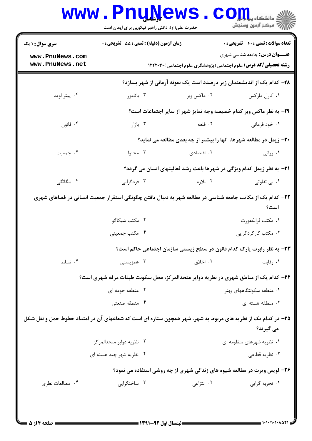| رِ ۖ مرڪز آزمون وسنڊش                      |                                                                                 | حضرت علی(ع): دانش راهبر نیکویی برای ایمان است                                                            |                                                                                                             |
|--------------------------------------------|---------------------------------------------------------------------------------|----------------------------------------------------------------------------------------------------------|-------------------------------------------------------------------------------------------------------------|
| <b>تعداد سوالات : تستی : 40 قشریحی : 0</b> |                                                                                 | <b>زمان آزمون (دقیقه) : تستی : 55 تشریحی : 0</b>                                                         | <b>سری سوال : ۱ یک</b>                                                                                      |
| <b>عنـــوان درس:</b> جامعه شناسی شهری      | <b>رشته تحصیلی/کد درس:</b> علوم اجتماعی (پژوهشگری علوم اجتماعی )۲۲۲۰۳۰ (        |                                                                                                          | www.PnuNews.com<br>www.PnuNews.net                                                                          |
|                                            | ۲۸- کدام یک از اندیشمندان زیر درصدد است یک نمونه آرمانی از شهر بسازد؟           |                                                                                                          |                                                                                                             |
| ۰۱ کارل مارکس                              | ۰۲ ماکس وبر                                                                     | ۰۳ باتامور                                                                                               | ۰۴ پیتر لوید                                                                                                |
|                                            | ۲۹- به نظر ماکس وبر کدام خصیصه وجه تمایز شهر از سایر اجتماعات است؟              |                                                                                                          |                                                                                                             |
| ۰۱ خود فرمانی                              | ٢. قلعه                                                                         | ۰۳ بازار                                                                                                 | ۰۴ قانون                                                                                                    |
|                                            | ۳۰- زیمل در مطالعه شهرها، آنها را بیشتر از چه بعدی مطالعه می نماید؟             |                                                                                                          |                                                                                                             |
| ۰۱ روانی                                   | ۰۲ اقتصادی                                                                      | ۰۳ محتوا                                                                                                 | ۰۴ جمعیت                                                                                                    |
|                                            | <b>۳۱</b> - به نظر زیمل کدام ویژگی در شهرها باعث رشد فعالیتهای انسان می گردد؟   |                                                                                                          |                                                                                                             |
| ۰۱ بی تفاوتی                               | ۰۲ بلازه                                                                        | ۰۳ فردگرایی                                                                                              | ۰۴ بیگانگی                                                                                                  |
| است؟                                       |                                                                                 | ۳۲– کدام یک از مکاتب جامعه شناسی در مطالعه شهر به دنبال یافتن چگونگی استقرار جمعیت انسانی در فضاهای شهری |                                                                                                             |
| ٠١ مكتب فرانكفورت                          |                                                                                 | ۰۲ مکتب شیکاگو                                                                                           |                                                                                                             |
| ۰۳ مکتب کار کردگرایی                       |                                                                                 | ۰۴ مکتب جمعیتی                                                                                           |                                                                                                             |
|                                            | ۳۳- به نظر رابرت پارک کدام قانون در سطح زیستی سازمان اجتماعی حاکم است؟          |                                                                                                          |                                                                                                             |
| ۰۱ رقابت                                   | ۰۲ اخلاق                                                                        | ۰۳ همزیستی                                                                                               | ۰۴ تسلط                                                                                                     |
|                                            |                                                                                 | ۳۴- کدام یک از مناطق شهری در نظریه دوایر متحدالمرکز، محل سکونت طبقات مرفه شهری است؟                      |                                                                                                             |
| ۰۱ منطقه سکونتگاههای بهتر                  |                                                                                 | ۰۲ منطقه حومه ای                                                                                         |                                                                                                             |
| ۰۳ منطقه هسته ای                           |                                                                                 | ۰۴ منطقه صنعتی                                                                                           |                                                                                                             |
| می گیرند؟                                  |                                                                                 |                                                                                                          | ۳۵– در کدام یک از نظریه های مربوط به شهر، شهر همچون ستاره ای است که شعاعهای آن در امتداد خطوط حمل و نقل شکل |
| ۰۱ نظریه شهرهای منظومه ای                  |                                                                                 | ٠٢ نظريه دواير متحدالمركز                                                                                |                                                                                                             |
| ۰۳ نظریه قطاعی                             |                                                                                 | ۰۴ نظریه شهر چند هسته ای                                                                                 |                                                                                                             |
|                                            | <b>۳۶</b> - لویس ویرث در مطالعه شیوه های زندگی شهری از چه روشی استفاده می نمود؟ |                                                                                                          |                                                                                                             |
| ۰۱ تجربه گرایی                             | ۰۲ انتزاعی                                                                      | ۰۳ ساختگرایی                                                                                             | ۰۴ مطالعات نظری                                                                                             |